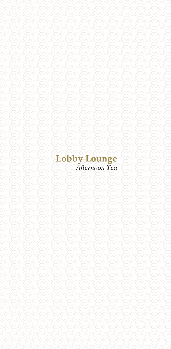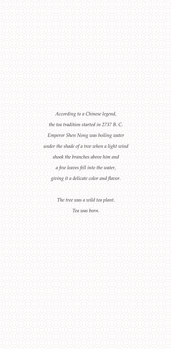*According to a Chinese legend, the tea tradition started in 2737 B. C. Emperor Shen Nong was boiling water under the shade of a tree when a light wind shook the branches above him and a few leaves fell into the water, giving it a delicate color and flavor.*

> *The tree was a wild tea plant. Tea was born.*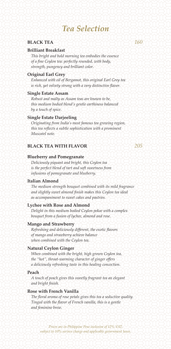# *Tea Selection*

# **BLACK TEA** *160*

# **Brilliant Breakfast**

*This bright and bold morning tea embodies the essence of a fine Ceylon tea: perfectly rounded, with body, strength, pungency and brilliant color.*

## **Original Earl Grey**

*Enhanced with oil of Bergamot, this original Earl Grey tea is rich, yet velvety strong with a very distinctive flavor.*

### **Single Estate Assam**

*Robust and malty as Assam teas are known to be, this medium bodied blend's gentle earthiness balanced by a touch of spice.*

# **Single Estate Darjeeling**

*Originating from India's most famous tea growing region, this tea reflects a subtle sophistication with a prominent Muscatel note.*

# **BLACK TEA WITH FLAVOR 22 205**

### **Blueberry and Pomegranate**

*Deliciously piquant and bright, this Ceylon tea is the perfect blend of tart and soft sweetness from infusions of pomegranate and blueberry.*

### **Italian Almond**

*The medium strength bouquet combined with its mild fragrance and slightly sweet almond finish makes this Ceylon tea ideal as accompaniment to sweet cakes and pastries.*

# **Lychee with Rose and Almond**

*Delight in this medium bodied Ceylon pekoe with a complex bouquet from a fusion of lychee, almond and rose.*

### **Mango and Strawberry**

*Refreshing and deliciously different, the exotic flavors of mango and strawberry achieve balance when combined with the Ceylon tea.*

### **Natural Ceylon Ginger**

*When combined with the bright, high grown Ceylon tea, the "hot", throat-warming character of ginger offers a deliciously refreshing taste in this healing concoction.*

### **Peach**

*A touch of peach gives this sweetly fragrant tea an elegant and bright finish.*

# **Rose with French Vanilla**

*The floral aroma of rose petals gives this tea a seductive quality. Tinged with the flavor of French vanilla, this is a gentle and feminine brew.*